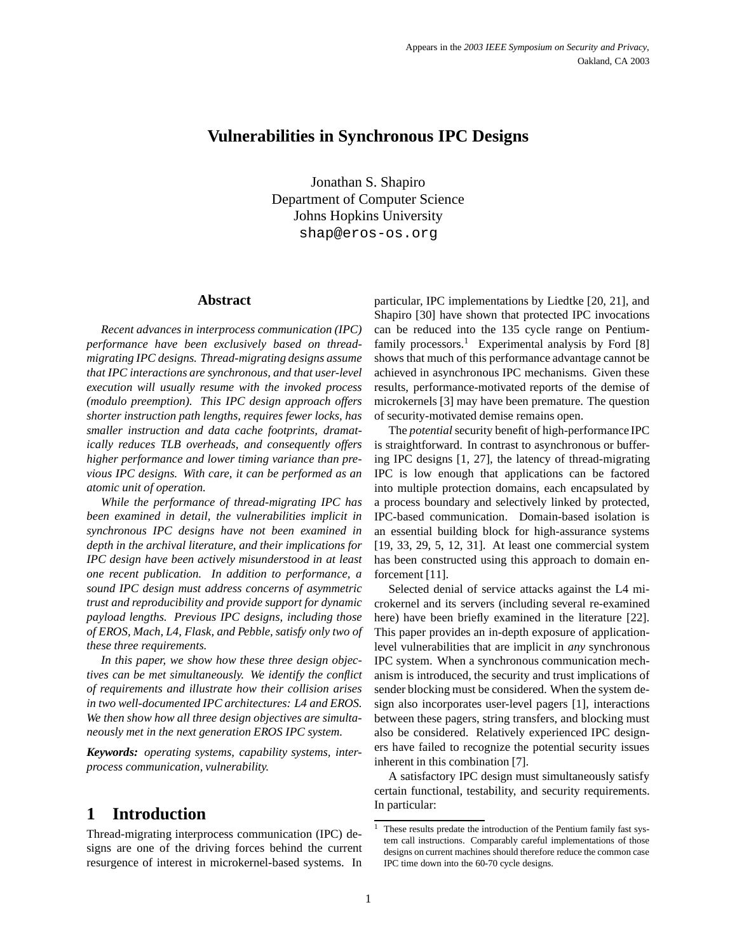### **Vulnerabilities in Synchronous IPC Designs**

Jonathan S. Shapiro Department of Computer Science Johns Hopkins University shap@eros-os.org

#### **Abstract**

*Recent advances in interprocess communication (IPC) performance have been exclusively based on threadmigrating IPC designs. Thread-migrating designs assume that IPC interactions are synchronous, and that user-level execution will usually resume with the invoked process (modulo preemption). This IPC design approach offers shorter instruction path lengths, requires fewer locks, has smaller instruction and data cache footprints, dramatically reduces TLB overheads, and consequently offers higher performance and lower timing variance than previous IPC designs. With care, it can be performed as an atomic unit of operation.*

*While the performance of thread-migrating IPC has been examined in detail, the vulnerabilities implicit in synchronous IPC designs have not been examined in depth in the archival literature, and their implications for IPC design have been actively misunderstood in at least one recent publication. In addition to performance, a sound IPC design must address concerns of asymmetric trust and reproducibility and provide support for dynamic payload lengths. Previous IPC designs, including those of EROS, Mach, L4, Flask, and Pebble, satisfy only two of these three requirements.*

*In this paper, we show how these three design objectives can be met simultaneously. We identify the conflict of requirements and illustrate how their collision arises in two well-documented IPC architectures: L4 and EROS. We then show how all three design objectives are simultaneously met in the next generation EROS IPC system.*

*Keywords: operating systems, capability systems, interprocess communication, vulnerability.*

## **1 Introduction**

Thread-migrating interprocess communication (IPC) designs are one of the driving forces behind the current resurgence of interest in microkernel-based systems. In

particular, IPC implementations by Liedtke [20, 21], and Shapiro [30] have shown that protected IPC invocations can be reduced into the 135 cycle range on Pentiumfamily processors.<sup>1</sup> Experimental analysis by Ford  $[8]$ shows that much of this performance advantage cannot be achieved in asynchronous IPC mechanisms. Given these results, performance-motivated reports of the demise of microkernels [3] may have been premature. The question of security-motivated demise remains open.

The *potential* security benefit of high-performance IPC is straightforward. In contrast to asynchronous or buffering IPC designs [1, 27], the latency of thread-migrating IPC is low enough that applications can be factored into multiple protection domains, each encapsulated by a process boundary and selectively linked by protected, IPC-based communication. Domain-based isolation is an essential building block for high-assurance systems [19, 33, 29, 5, 12, 31]. At least one commercial system has been constructed using this approach to domain enforcement [11].

Selected denial of service attacks against the L4 microkernel and its servers (including several re-examined here) have been briefly examined in the literature [22]. This paper provides an in-depth exposure of applicationlevel vulnerabilities that are implicit in *any* synchronous IPC system. When a synchronous communication mechanism is introduced, the security and trust implications of sender blocking must be considered. When the system design also incorporates user-level pagers [1], interactions between these pagers, string transfers, and blocking must also be considered. Relatively experienced IPC designers have failed to recognize the potential security issues inherent in this combination [7].

A satisfactory IPC design must simultaneously satisfy certain functional, testability, and security requirements. In particular:

These results predate the introduction of the Pentium family fast system call instructions. Comparably careful implementations of those designs on current machines should therefore reduce the common case IPC time down into the 60-70 cycle designs.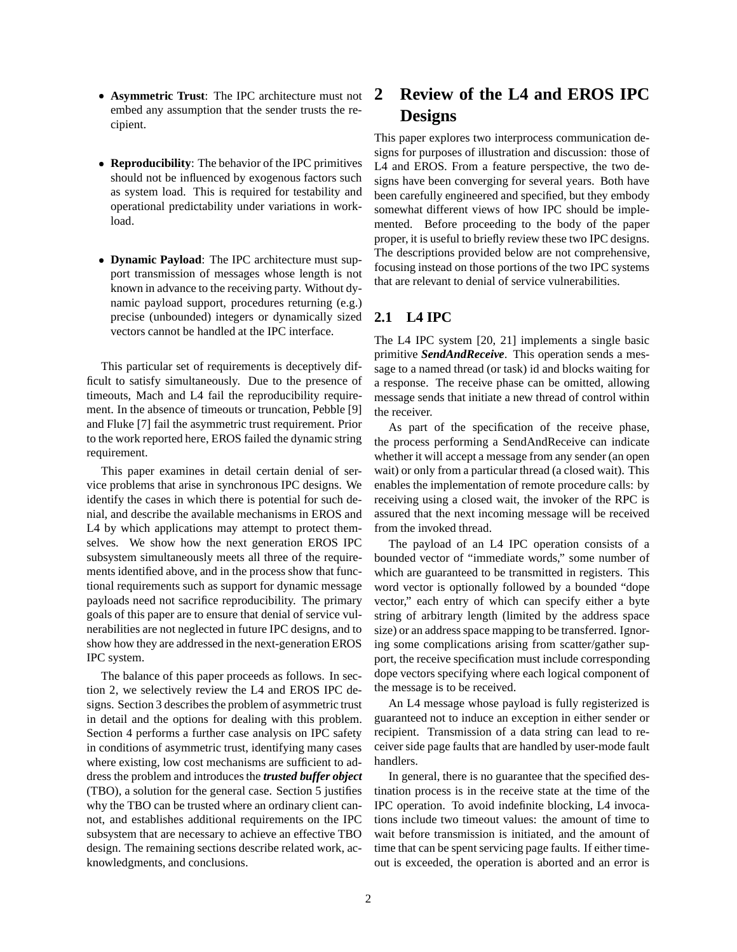- **Asymmetric Trust**: The IPC architecture must not embed any assumption that the sender trusts the recipient.
- **Reproducibility**: The behavior of the IPC primitives should not be influenced by exogenous factors such as system load. This is required for testability and operational predictability under variations in workload.
- **Dynamic Payload**: The IPC architecture must support transmission of messages whose length is not known in advance to the receiving party. Without dynamic payload support, procedures returning (e.g.) precise (unbounded) integers or dynamically sized vectors cannot be handled at the IPC interface.

This particular set of requirements is deceptively difficult to satisfy simultaneously. Due to the presence of timeouts, Mach and L4 fail the reproducibility requirement. In the absence of timeouts or truncation, Pebble [9] and Fluke [7] fail the asymmetric trust requirement. Prior to the work reported here, EROS failed the dynamic string requirement.

This paper examines in detail certain denial of service problems that arise in synchronous IPC designs. We identify the cases in which there is potential for such denial, and describe the available mechanisms in EROS and L4 by which applications may attempt to protect themselves. We show how the next generation EROS IPC subsystem simultaneously meets all three of the requirements identified above, and in the process show that functional requirements such as support for dynamic message payloads need not sacrifice reproducibility. The primary goals of this paper are to ensure that denial of service vulnerabilities are not neglected in future IPC designs, and to show how they are addressed in the next-generationEROS IPC system.

The balance of this paper proceeds as follows. In section 2, we selectively review the L4 and EROS IPC designs. Section 3 describes the problem of asymmetric trust in detail and the options for dealing with this problem. Section 4 performs a further case analysis on IPC safety in conditions of asymmetric trust, identifying many cases where existing, low cost mechanisms are sufficient to address the problem and introduces the *trusted buffer object* (TBO), a solution for the general case. Section 5 justifies why the TBO can be trusted where an ordinary client cannot, and establishes additional requirements on the IPC subsystem that are necessary to achieve an effective TBO design. The remaining sections describe related work, acknowledgments, and conclusions.

# **2 Review of the L4 and EROS IPC Designs**

This paper explores two interprocess communication designs for purposes of illustration and discussion: those of L4 and EROS. From a feature perspective, the two designs have been converging for several years. Both have been carefully engineered and specified, but they embody somewhat different views of how IPC should be implemented. Before proceeding to the body of the paper proper, it is useful to briefly review these two IPC designs. The descriptions provided below are not comprehensive, focusing instead on those portions of the two IPC systems that are relevant to denial of service vulnerabilities.

## **2.1 L4 IPC**

The L4 IPC system [20, 21] implements a single basic primitive *SendAndReceive*. This operation sends a message to a named thread (or task) id and blocks waiting for a response. The receive phase can be omitted, allowing message sends that initiate a new thread of control within the receiver.

As part of the specification of the receive phase, the process performing a SendAndReceive can indicate whether it will accept a message from any sender (an open wait) or only from a particular thread (a closed wait). This enables the implementation of remote procedure calls: by receiving using a closed wait, the invoker of the RPC is assured that the next incoming message will be received from the invoked thread.

The payload of an L4 IPC operation consists of a bounded vector of "immediate words," some number of which are guaranteed to be transmitted in registers. This word vector is optionally followed by a bounded "dope vector," each entry of which can specify either a byte string of arbitrary length (limited by the address space size) or an address space mapping to be transferred. Ignoring some complications arising from scatter/gather support, the receive specification must include corresponding dope vectors specifying where each logical component of the message is to be received.

An L4 message whose payload is fully registerized is guaranteed not to induce an exception in either sender or recipient. Transmission of a data string can lead to receiver side page faults that are handled by user-mode fault handlers.

In general, there is no guarantee that the specified destination process is in the receive state at the time of the IPC operation. To avoid indefinite blocking, L4 invocations include two timeout values: the amount of time to wait before transmission is initiated, and the amount of time that can be spent servicing page faults. If either timeout is exceeded, the operation is aborted and an error is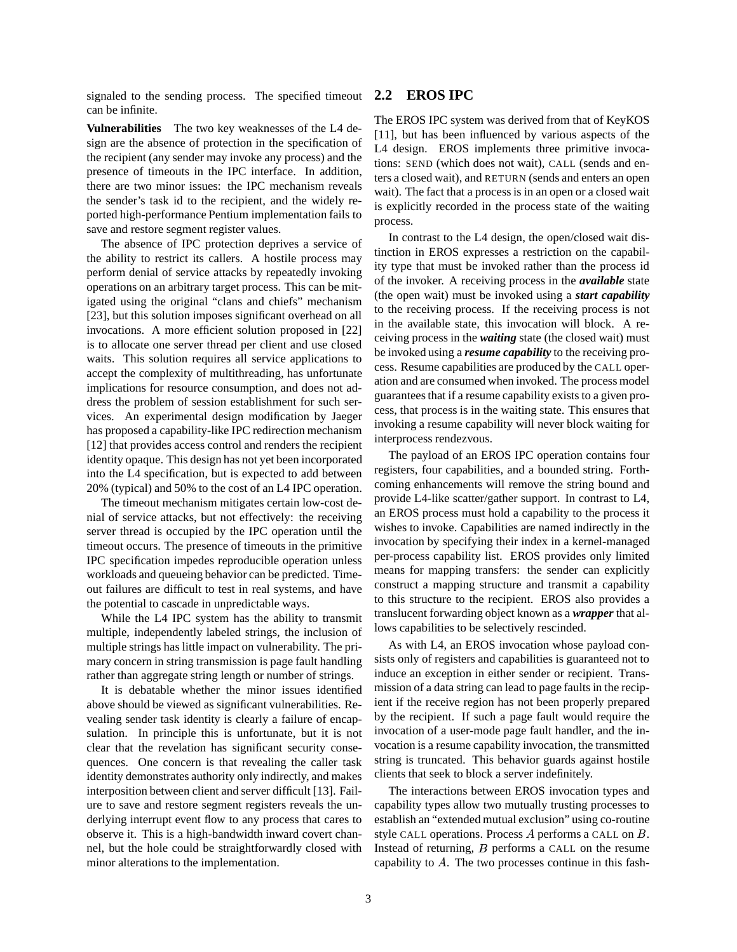signaled to the sending process. The specified timeout can be infinite.

**Vulnerabilities** The two key weaknesses of the L4 design are the absence of protection in the specification of the recipient (any sender may invoke any process) and the presence of timeouts in the IPC interface. In addition, there are two minor issues: the IPC mechanism reveals the sender's task id to the recipient, and the widely reported high-performance Pentium implementation fails to save and restore segment register values.

The absence of IPC protection deprives a service of the ability to restrict its callers. A hostile process may perform denial of service attacks by repeatedly invoking operations on an arbitrary target process. This can be mitigated using the original "clans and chiefs" mechanism [23], but this solution imposes significant overhead on all invocations. A more efficient solution proposed in [22] is to allocate one server thread per client and use closed waits. This solution requires all service applications to accept the complexity of multithreading, has unfortunate implications for resource consumption, and does not address the problem of session establishment for such services. An experimental design modification by Jaeger has proposed a capability-like IPC redirection mechanism [12] that provides access control and renders the recipient identity opaque. This design has not yet been incorporated into the L4 specification, but is expected to add between 20% (typical) and 50% to the cost of an L4 IPC operation.

The timeout mechanism mitigates certain low-cost denial of service attacks, but not effectively: the receiving server thread is occupied by the IPC operation until the timeout occurs. The presence of timeouts in the primitive IPC specification impedes reproducible operation unless workloads and queueing behavior can be predicted. Timeout failures are difficult to test in real systems, and have the potential to cascade in unpredictable ways.

While the L4 IPC system has the ability to transmit multiple, independently labeled strings, the inclusion of multiple strings has little impact on vulnerability. The primary concern in string transmission is page fault handling rather than aggregate string length or number of strings.

It is debatable whether the minor issues identified above should be viewed as significant vulnerabilities. Revealing sender task identity is clearly a failure of encapsulation. In principle this is unfortunate, but it is not clear that the revelation has significant security consequences. One concern is that revealing the caller task identity demonstrates authority only indirectly, and makes interposition between client and server difficult [13]. Failure to save and restore segment registers reveals the underlying interrupt event flow to any process that cares to observe it. This is a high-bandwidth inward covert channel, but the hole could be straightforwardly closed with minor alterations to the implementation.

### **2.2 EROS IPC**

The EROS IPC system was derived from that of KeyKOS [11], but has been influenced by various aspects of the L4 design. EROS implements three primitive invocations: SEND (which does not wait), CALL (sends and enters a closed wait), and RETURN (sends and enters an open wait). The fact that a process is in an open or a closed wait is explicitly recorded in the process state of the waiting process.

In contrast to the L4 design, the open/closed wait distinction in EROS expresses a restriction on the capability type that must be invoked rather than the process id of the invoker. A receiving process in the *available* state (the open wait) must be invoked using a *start capability* to the receiving process. If the receiving process is not in the available state, this invocation will block. A receiving process in the *waiting* state (the closed wait) must be invoked using a *resume capability* to the receiving process. Resume capabilities are produced by the CALL operation and are consumed when invoked. The process model guarantees that if a resume capability exists to a given process, that process is in the waiting state. This ensures that invoking a resume capability will never block waiting for interprocess rendezvous.

The payload of an EROS IPC operation contains four registers, four capabilities, and a bounded string. Forthcoming enhancements will remove the string bound and provide L4-like scatter/gather support. In contrast to L4, an EROS process must hold a capability to the process it wishes to invoke. Capabilities are named indirectly in the invocation by specifying their index in a kernel-managed per-process capability list. EROS provides only limited means for mapping transfers: the sender can explicitly construct a mapping structure and transmit a capability to this structure to the recipient. EROS also provides a translucent forwarding object known as a *wrapper* that allows capabilities to be selectively rescinded.

As with L4, an EROS invocation whose payload consists only of registers and capabilities is guaranteed not to induce an exception in either sender or recipient. Transmission of a data string can lead to page faults in the recipient if the receive region has not been properly prepared by the recipient. If such a page fault would require the invocation of a user-mode page fault handler, and the invocation is a resume capability invocation, the transmitted string is truncated. This behavior guards against hostile clients that seek to block a server indefinitely.

The interactions between EROS invocation types and capability types allow two mutually trusting processes to establish an "extended mutual exclusion" using co-routine style CALL operations. Process  $A$  performs a CALL on  $B$ . Instead of returning,  $B$  performs a CALL on the resume capability to  $A$ . The two processes continue in this fash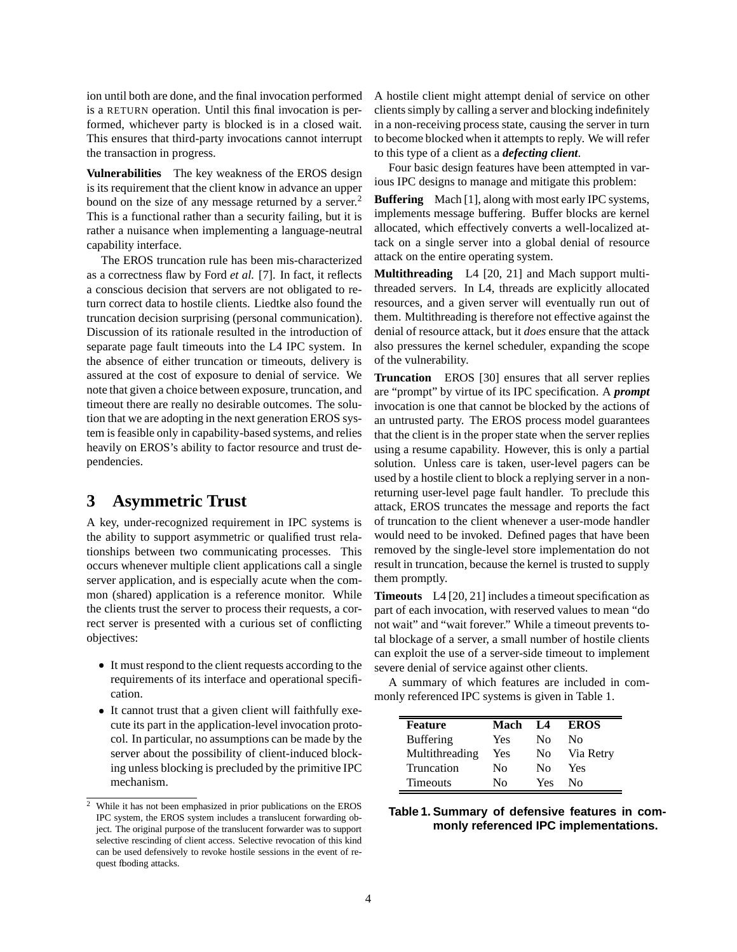ion until both are done, and the final invocation performed is a RETURN operation. Until this final invocation is performed, whichever party is blocked is in a closed wait. This ensures that third-party invocations cannot interrupt the transaction in progress.

**Vulnerabilities** The key weakness of the EROS design is its requirement that the client know in advance an upper bound on the size of any message returned by a server.<sup>2</sup> This is a functional rather than a security failing, but it is rather a nuisance when implementing a language-neutral capability interface.

The EROS truncation rule has been mis-characterized as a correctness flaw by Ford *et al.* [7]. In fact, it reflects a conscious decision that servers are not obligated to return correct data to hostile clients. Liedtke also found the truncation decision surprising (personal communication). Discussion of its rationale resulted in the introduction of separate page fault timeouts into the L4 IPC system. In the absence of either truncation or timeouts, delivery is assured at the cost of exposure to denial of service. We note that given a choice between exposure, truncation, and timeout there are really no desirable outcomes. The solution that we are adopting in the next generation EROS system is feasible only in capability-based systems, and relies heavily on EROS's ability to factor resource and trust dependencies.

## **3 Asymmetric Trust**

A key, under-recognized requirement in IPC systems is the ability to support asymmetric or qualified trust relationships between two communicating processes. This occurs whenever multiple client applications call a single server application, and is especially acute when the common (shared) application is a reference monitor. While the clients trust the server to process their requests, a correct server is presented with a curious set of conflicting objectives:

- It must respond to the client requests according to the requirements of its interface and operational specification.
- It cannot trust that a given client will faithfully execute its part in the application-level invocation protocol. In particular, no assumptions can be made by the server about the possibility of client-induced blocking unless blocking is precluded by the primitive IPC mechanism.

A hostile client might attempt denial of service on other clients simply by calling a server and blocking indefinitely in a non-receiving process state, causing the server in turn to become blocked when it attempts to reply. We will refer to this type of a client as a *defecting client*.

Four basic design features have been attempted in various IPC designs to manage and mitigate this problem:

**Buffering** Mach [1], along with most early IPC systems, implements message buffering. Buffer blocks are kernel allocated, which effectively converts a well-localized attack on a single server into a global denial of resource attack on the entire operating system.

**Multithreading** L4 [20, 21] and Mach support multithreaded servers. In L4, threads are explicitly allocated resources, and a given server will eventually run out of them. Multithreading is therefore not effective against the denial of resource attack, but it *does* ensure that the attack also pressures the kernel scheduler, expanding the scope of the vulnerability.

**Truncation** EROS [30] ensures that all server replies are "prompt" by virtue of its IPC specification. A *prompt* invocation is one that cannot be blocked by the actions of an untrusted party. The EROS process model guarantees that the client is in the proper state when the server replies using a resume capability. However, this is only a partial solution. Unless care is taken, user-level pagers can be used by a hostile client to block a replying server in a nonreturning user-level page fault handler. To preclude this attack, EROS truncates the message and reports the fact of truncation to the client whenever a user-mode handler would need to be invoked. Defined pages that have been removed by the single-level store implementation do not result in truncation, because the kernel is trusted to supply them promptly.

**Timeouts** L4 [20, 21] includes a timeout specification as part of each invocation, with reserved values to mean "do not wait" and "wait forever." While a timeout prevents total blockage of a server, a small number of hostile clients can exploit the use of a server-side timeout to implement severe denial of service against other clients.

A summary of which features are included in commonly referenced IPC systems is given in Table 1.

| <b>Feature</b>   | Mach | $\mathbf{L}$ | <b>EROS</b> |
|------------------|------|--------------|-------------|
| <b>Buffering</b> | Yes  | Nο           | Nο          |
| Multithreading   | Yes  | No           | Via Retry   |
| Truncation       | Nο   | Nο           | Yes         |
| <b>Timeouts</b>  | N٥   | Yes          | Nο          |

**Table 1. Summary of defensive features in commonly referenced IPC implementations.**

<sup>2</sup> While it has not been emphasized in prior publications on the EROS IPC system, the EROS system includes a translucent forwarding object. The original purpose of the translucent forwarder was to support selective rescinding of client access. Selective revocation of this kind can be used defensively to revoke hostile sessions in the event of request fboding attacks.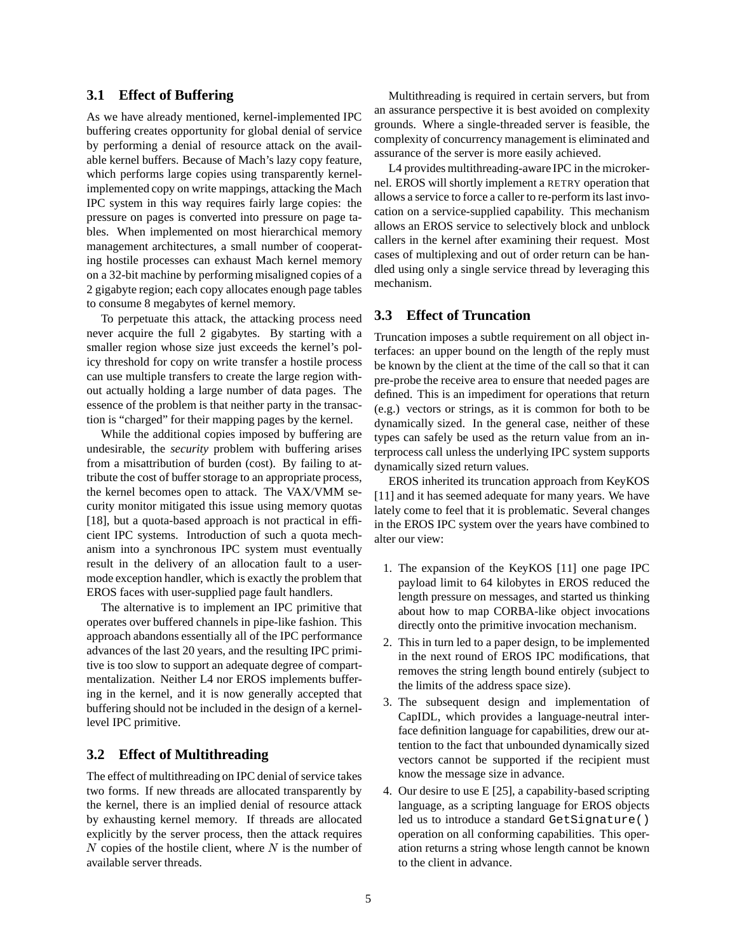### **3.1 Effect of Buffering**

As we have already mentioned, kernel-implemented IPC buffering creates opportunity for global denial of service by performing a denial of resource attack on the available kernel buffers. Because of Mach's lazy copy feature, which performs large copies using transparently kernelimplemented copy on write mappings, attacking the Mach IPC system in this way requires fairly large copies: the pressure on pages is converted into pressure on page tables. When implemented on most hierarchical memory management architectures, a small number of cooperating hostile processes can exhaust Mach kernel memory on a 32-bit machine by performing misaligned copies of a 2 gigabyte region; each copy allocates enough page tables to consume 8 megabytes of kernel memory.

To perpetuate this attack, the attacking process need never acquire the full 2 gigabytes. By starting with a smaller region whose size just exceeds the kernel's policy threshold for copy on write transfer a hostile process can use multiple transfers to create the large region without actually holding a large number of data pages. The essence of the problem is that neither party in the transaction is "charged" for their mapping pages by the kernel.

While the additional copies imposed by buffering are undesirable, the *security* problem with buffering arises from a misattribution of burden (cost). By failing to attribute the cost of buffer storage to an appropriate process, the kernel becomes open to attack. The VAX/VMM security monitor mitigated this issue using memory quotas [18], but a quota-based approach is not practical in efficient IPC systems. Introduction of such a quota mechanism into a synchronous IPC system must eventually result in the delivery of an allocation fault to a usermode exception handler, which is exactly the problem that EROS faces with user-supplied page fault handlers.

The alternative is to implement an IPC primitive that operates over buffered channels in pipe-like fashion. This approach abandons essentially all of the IPC performance advances of the last 20 years, and the resulting IPC primitive is too slow to support an adequate degree of compartmentalization. Neither L4 nor EROS implements buffering in the kernel, and it is now generally accepted that buffering should not be included in the design of a kernellevel IPC primitive.

### **3.2 Effect of Multithreading**

The effect of multithreading on IPC denial of service takes two forms. If new threads are allocated transparently by the kernel, there is an implied denial of resource attack by exhausting kernel memory. If threads are allocated explicitly by the server process, then the attack requires  $N$  copies of the hostile client, where  $N$  is the number of available server threads.

Multithreading is required in certain servers, but from an assurance perspective it is best avoided on complexity grounds. Where a single-threaded server is feasible, the complexity of concurrency management is eliminated and assurance of the server is more easily achieved.

L4 provides multithreading-aware IPC in the microkernel. EROS will shortly implement a RETRY operation that allows a service to force a caller to re-perform its last invocation on a service-supplied capability. This mechanism allows an EROS service to selectively block and unblock callers in the kernel after examining their request. Most cases of multiplexing and out of order return can be handled using only a single service thread by leveraging this mechanism.

#### **3.3 Effect of Truncation**

Truncation imposes a subtle requirement on all object interfaces: an upper bound on the length of the reply must be known by the client at the time of the call so that it can pre-probe the receive area to ensure that needed pages are defined. This is an impediment for operations that return (e.g.) vectors or strings, as it is common for both to be dynamically sized. In the general case, neither of these types can safely be used as the return value from an interprocess call unless the underlying IPC system supports dynamically sized return values.

EROS inherited its truncation approach from KeyKOS [11] and it has seemed adequate for many years. We have lately come to feel that it is problematic. Several changes in the EROS IPC system over the years have combined to alter our view:

- 1. The expansion of the KeyKOS [11] one page IPC payload limit to 64 kilobytes in EROS reduced the length pressure on messages, and started us thinking about how to map CORBA-like object invocations directly onto the primitive invocation mechanism.
- 2. This in turn led to a paper design, to be implemented in the next round of EROS IPC modifications, that removes the string length bound entirely (subject to the limits of the address space size).
- 3. The subsequent design and implementation of CapIDL, which provides a language-neutral interface definition language for capabilities, drew our attention to the fact that unbounded dynamically sized vectors cannot be supported if the recipient must know the message size in advance.
- 4. Our desire to use E [25], a capability-based scripting language, as a scripting language for EROS objects led us to introduce a standard GetSignature() operation on all conforming capabilities. This operation returns a string whose length cannot be known to the client in advance.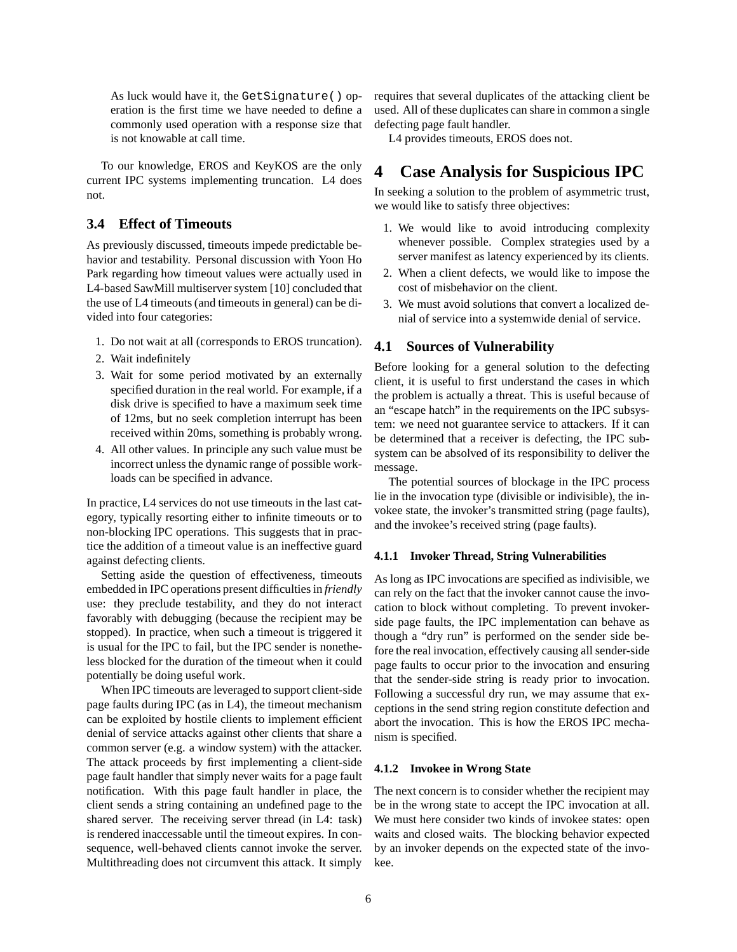As luck would have it, the GetSignature() operation is the first time we have needed to define a commonly used operation with a response size that is not knowable at call time.

To our knowledge, EROS and KeyKOS are the only current IPC systems implementing truncation. L4 does not.

### **3.4 Effect of Timeouts**

As previously discussed, timeouts impede predictable behavior and testability. Personal discussion with Yoon Ho Park regarding how timeout values were actually used in L4-based SawMill multiserver system [10] concluded that the use of L4 timeouts (and timeouts in general) can be divided into four categories:

- 1. Do not wait at all (corresponds to EROS truncation).
- 2. Wait indefinitely
- 3. Wait for some period motivated by an externally specified duration in the real world. For example, if a disk drive is specified to have a maximum seek time of 12ms, but no seek completion interrupt has been received within 20ms, something is probably wrong.
- 4. All other values. In principle any such value must be incorrect unless the dynamic range of possible workloads can be specified in advance.

In practice, L4 services do not use timeouts in the last category, typically resorting either to infinite timeouts or to non-blocking IPC operations. This suggests that in practice the addition of a timeout value is an ineffective guard against defecting clients.

Setting aside the question of effectiveness, timeouts embedded in IPC operations present difficulties in *friendly* use: they preclude testability, and they do not interact favorably with debugging (because the recipient may be stopped). In practice, when such a timeout is triggered it is usual for the IPC to fail, but the IPC sender is nonetheless blocked for the duration of the timeout when it could potentially be doing useful work.

When IPC timeouts are leveraged to support client-side page faults during IPC (as in L4), the timeout mechanism can be exploited by hostile clients to implement efficient denial of service attacks against other clients that share a common server (e.g. a window system) with the attacker. The attack proceeds by first implementing a client-side page fault handler that simply never waits for a page fault notification. With this page fault handler in place, the client sends a string containing an undefined page to the shared server. The receiving server thread (in L4: task) is rendered inaccessable until the timeout expires. In consequence, well-behaved clients cannot invoke the server. Multithreading does not circumvent this attack. It simply

requires that several duplicates of the attacking client be used. All of these duplicates can share in common a single defecting page fault handler.

L4 provides timeouts, EROS does not.

## **4 Case Analysis for Suspicious IPC**

In seeking a solution to the problem of asymmetric trust, we would like to satisfy three objectives:

- 1. We would like to avoid introducing complexity whenever possible. Complex strategies used by a server manifest as latency experienced by its clients.
- 2. When a client defects, we would like to impose the cost of misbehavior on the client.
- 3. We must avoid solutions that convert a localized denial of service into a systemwide denial of service.

### **4.1 Sources of Vulnerability**

Before looking for a general solution to the defecting client, it is useful to first understand the cases in which the problem is actually a threat. This is useful because of an "escape hatch" in the requirements on the IPC subsystem: we need not guarantee service to attackers. If it can be determined that a receiver is defecting, the IPC subsystem can be absolved of its responsibility to deliver the message.

The potential sources of blockage in the IPC process lie in the invocation type (divisible or indivisible), the invokee state, the invoker's transmitted string (page faults), and the invokee's received string (page faults).

### **4.1.1 Invoker Thread, String Vulnerabilities**

As long as IPC invocations are specified as indivisible, we can rely on the fact that the invoker cannot cause the invocation to block without completing. To prevent invokerside page faults, the IPC implementation can behave as though a "dry run" is performed on the sender side before the real invocation, effectively causing all sender-side page faults to occur prior to the invocation and ensuring that the sender-side string is ready prior to invocation. Following a successful dry run, we may assume that exceptions in the send string region constitute defection and abort the invocation. This is how the EROS IPC mechanism is specified.

#### **4.1.2 Invokee in Wrong State**

The next concern is to consider whether the recipient may be in the wrong state to accept the IPC invocation at all. We must here consider two kinds of invokee states: open waits and closed waits. The blocking behavior expected by an invoker depends on the expected state of the invokee.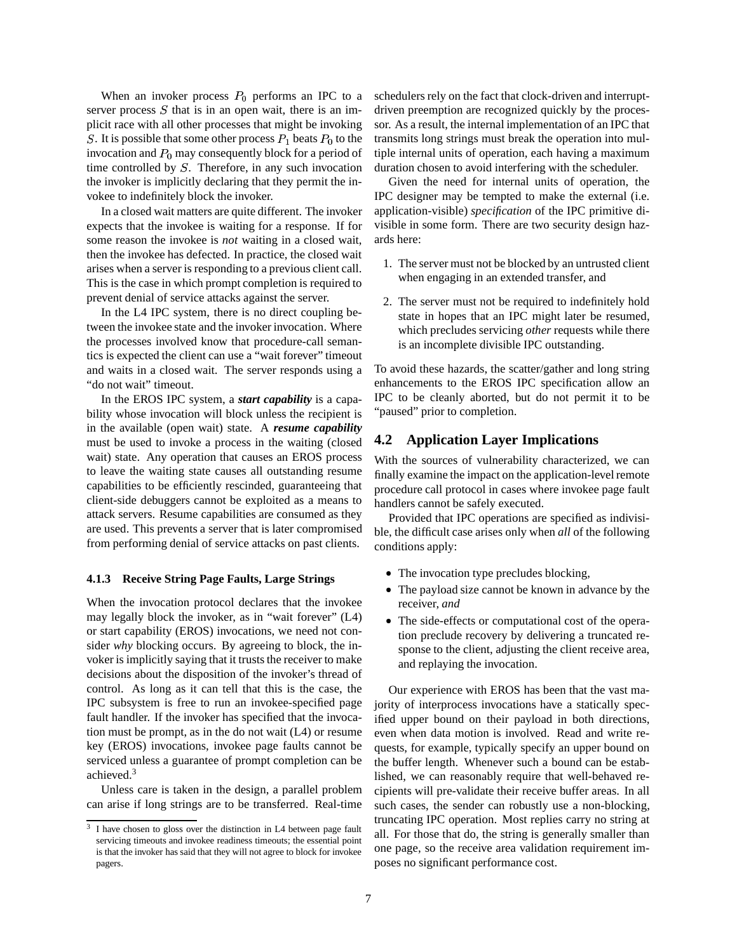When an invoker process  $P_0$  performs an IPC to a server process  $S$  that is in an open wait, there is an implicit race with all other processes that might be invoking S. It is possible that some other process  $P_1$  beats  $P_0$  to the invocation and  $P_0$  may consequently block for a period of time controlled by  $S$ . Therefore, in any such invocation the invoker is implicitly declaring that they permit the invokee to indefinitely block the invoker.

In a closed wait matters are quite different. The invoker expects that the invokee is waiting for a response. If for some reason the invokee is *not* waiting in a closed wait, then the invokee has defected. In practice, the closed wait arises when a server is responding to a previous client call. This is the case in which prompt completion is required to prevent denial of service attacks against the server.

In the L4 IPC system, there is no direct coupling between the invokee state and the invoker invocation. Where the processes involved know that procedure-call semantics is expected the client can use a "wait forever" timeout and waits in a closed wait. The server responds using a "do not wait" timeout.

In the EROS IPC system, a *start capability* is a capability whose invocation will block unless the recipient is in the available (open wait) state. A *resume capability* must be used to invoke a process in the waiting (closed wait) state. Any operation that causes an EROS process to leave the waiting state causes all outstanding resume capabilities to be efficiently rescinded, guaranteeing that client-side debuggers cannot be exploited as a means to attack servers. Resume capabilities are consumed as they are used. This prevents a server that is later compromised from performing denial of service attacks on past clients.

#### **4.1.3 Receive String Page Faults, Large Strings**

When the invocation protocol declares that the invokee may legally block the invoker, as in "wait forever" (L4) or start capability (EROS) invocations, we need not consider *why* blocking occurs. By agreeing to block, the invoker is implicitly saying that it trusts the receiver to make decisions about the disposition of the invoker's thread of control. As long as it can tell that this is the case, the IPC subsystem is free to run an invokee-specified page fault handler. If the invoker has specified that the invocation must be prompt, as in the do not wait (L4) or resume key (EROS) invocations, invokee page faults cannot be serviced unless a guarantee of prompt completion can be achieved.<sup>3</sup>

Unless care is taken in the design, a parallel problem can arise if long strings are to be transferred. Real-time schedulers rely on the fact that clock-driven and interruptdriven preemption are recognized quickly by the processor. As a result, the internal implementation of an IPC that transmits long strings must break the operation into multiple internal units of operation, each having a maximum duration chosen to avoid interfering with the scheduler.

Given the need for internal units of operation, the IPC designer may be tempted to make the external (i.e. application-visible) *specification* of the IPC primitive divisible in some form. There are two security design hazards here:

- 1. The server must not be blocked by an untrusted client when engaging in an extended transfer, and
- 2. The server must not be required to indefinitely hold state in hopes that an IPC might later be resumed, which precludes servicing *other* requests while there is an incomplete divisible IPC outstanding.

To avoid these hazards, the scatter/gather and long string enhancements to the EROS IPC specification allow an IPC to be cleanly aborted, but do not permit it to be "paused" prior to completion.

#### **4.2 Application Layer Implications**

With the sources of vulnerability characterized, we can finally examine the impact on the application-level remote procedure call protocol in cases where invokee page fault handlers cannot be safely executed.

Provided that IPC operations are specified as indivisible, the difficult case arises only when *all* of the following conditions apply:

- The invocation type precludes blocking,
- The payload size cannot be known in advance by the receiver, *and*
- The side-effects or computational cost of the operation preclude recovery by delivering a truncated response to the client, adjusting the client receive area, and replaying the invocation.

Our experience with EROS has been that the vast majority of interprocess invocations have a statically specified upper bound on their payload in both directions, even when data motion is involved. Read and write requests, for example, typically specify an upper bound on the buffer length. Whenever such a bound can be established, we can reasonably require that well-behaved recipients will pre-validate their receive buffer areas. In all such cases, the sender can robustly use a non-blocking, truncating IPC operation. Most replies carry no string at all. For those that do, the string is generally smaller than one page, so the receive area validation requirement imposes no significant performance cost.

 $3\,$  I have chosen to gloss over the distinction in L4 between page fault servicing timeouts and invokee readiness timeouts; the essential point is that the invoker has said that they will not agree to block for invokee pagers.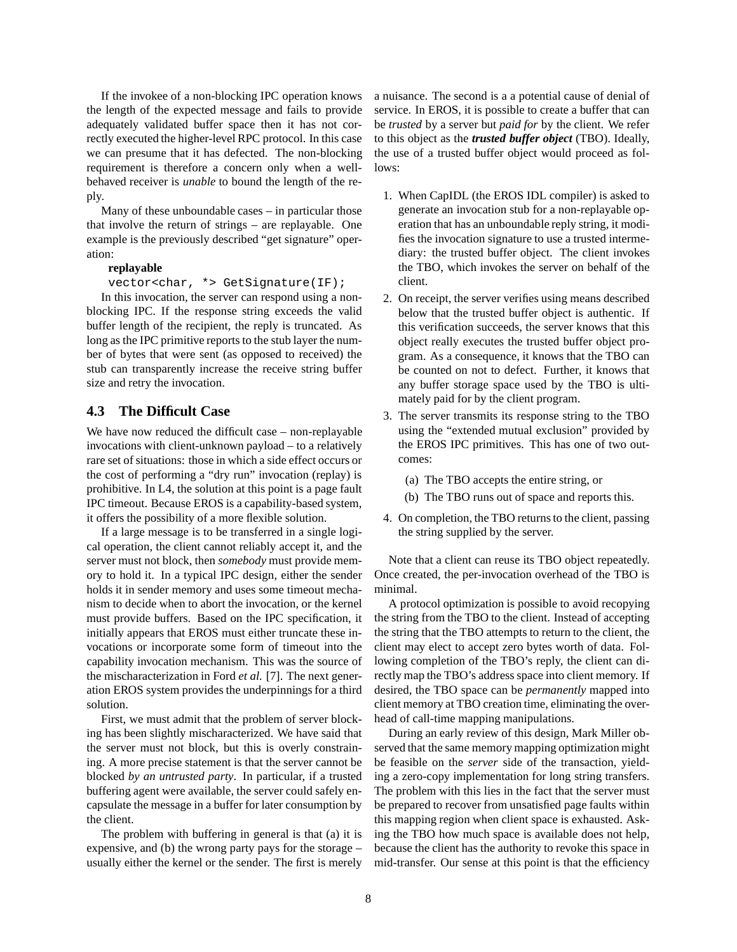If the invokee of a non-blocking IPC operation knows the length of the expected message and fails to provide adequately validated buffer space then it has not correctly executed the higher-level RPC protocol. In this case we can presume that it has defected. The non-blocking requirement is therefore a concern only when a wellbehaved receiver is *unable* to bound the length of the reply.

Many of these unboundable cases – in particular those that involve the return of strings – are replayable. One example is the previously described "get signature" operation:

#### **replayable**

vector<char, \*> GetSignature(IF);

In this invocation, the server can respond using a nonblocking IPC. If the response string exceeds the valid buffer length of the recipient, the reply is truncated. As long as the IPC primitive reports to the stub layer the number of bytes that were sent (as opposed to received) the stub can transparently increase the receive string buffer size and retry the invocation.

### **4.3 The Difficult Case**

We have now reduced the difficult case – non-replayable invocations with client-unknown payload – to a relatively rare set of situations: those in which a side effect occurs or the cost of performing a "dry run" invocation (replay) is prohibitive. In L4, the solution at this point is a page fault IPC timeout. Because EROS is a capability-based system, it offers the possibility of a more flexible solution.

If a large message is to be transferred in a single logical operation, the client cannot reliably accept it, and the server must not block, then *somebody* must provide memory to hold it. In a typical IPC design, either the sender holds it in sender memory and uses some timeout mechanism to decide when to abort the invocation, or the kernel must provide buffers. Based on the IPC specification, it initially appears that EROS must either truncate these invocations or incorporate some form of timeout into the capability invocation mechanism. This was the source of the mischaracterization in Ford *et al.* [7]. The next generation EROS system provides the underpinningsfor a third solution.

First, we must admit that the problem of server blocking has been slightly mischaracterized. We have said that the server must not block, but this is overly constraining. A more precise statement is that the server cannot be blocked *by an untrusted party*. In particular, if a trusted buffering agent were available, the server could safely encapsulate the message in a buffer for later consumption by the client.

The problem with buffering in general is that (a) it is expensive, and (b) the wrong party pays for the storage – usually either the kernel or the sender. The first is merely a nuisance. The second is a a potential cause of denial of service. In EROS, it is possible to create a buffer that can be *trusted* by a server but *paid for* by the client. We refer to this object as the *trusted buffer object* (TBO). Ideally, the use of a trusted buffer object would proceed as follows:

- 1. When CapIDL (the EROS IDL compiler) is asked to generate an invocation stub for a non-replayable operation that has an unboundable reply string, it modifies the invocation signature to use a trusted intermediary: the trusted buffer object. The client invokes the TBO, which invokes the server on behalf of the client.
- 2. On receipt, the server verifies using means described below that the trusted buffer object is authentic. If this verification succeeds, the server knows that this object really executes the trusted buffer object program. As a consequence, it knows that the TBO can be counted on not to defect. Further, it knows that any buffer storage space used by the TBO is ultimately paid for by the client program.
- 3. The server transmits its response string to the TBO using the "extended mutual exclusion" provided by the EROS IPC primitives. This has one of two outcomes:
	- (a) The TBO accepts the entire string, or
	- (b) The TBO runs out of space and reports this.
- 4. On completion, the TBO returns to the client, passing the string supplied by the server.

Note that a client can reuse its TBO object repeatedly. Once created, the per-invocation overhead of the TBO is minimal.

A protocol optimization is possible to avoid recopying the string from the TBO to the client. Instead of accepting the string that the TBO attempts to return to the client, the client may elect to accept zero bytes worth of data. Following completion of the TBO's reply, the client can directly map the TBO's address space into client memory. If desired, the TBO space can be *permanently* mapped into client memory at TBO creation time, eliminating the overhead of call-time mapping manipulations.

During an early review of this design, Mark Miller observed that the same memory mapping optimization might be feasible on the *server* side of the transaction, yielding a zero-copy implementation for long string transfers. The problem with this lies in the fact that the server must be prepared to recover from unsatisfied page faults within this mapping region when client space is exhausted. Asking the TBO how much space is available does not help, because the client has the authority to revoke this space in mid-transfer. Our sense at this point is that the efficiency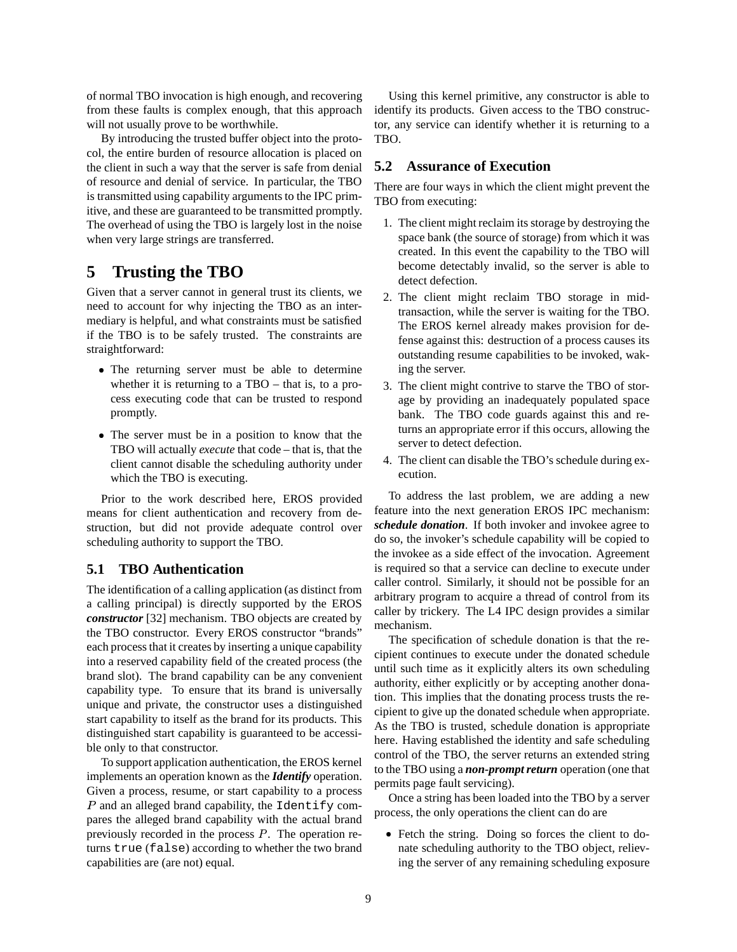of normal TBO invocation is high enough, and recovering from these faults is complex enough, that this approach will not usually prove to be worthwhile.

By introducing the trusted buffer object into the protocol, the entire burden of resource allocation is placed on the client in such a way that the server is safe from denial of resource and denial of service. In particular, the TBO is transmitted using capability arguments to the IPC primitive, and these are guaranteed to be transmitted promptly. The overhead of using the TBO is largely lost in the noise when very large strings are transferred.

## **5 Trusting the TBO**

Given that a server cannot in general trust its clients, we need to account for why injecting the TBO as an intermediary is helpful, and what constraints must be satisfied if the TBO is to be safely trusted. The constraints are straightforward:

- The returning server must be able to determine whether it is returning to a TBO – that is, to a process executing code that can be trusted to respond promptly.
- The server must be in a position to know that the TBO will actually *execute* that code – that is, that the client cannot disable the scheduling authority under which the TBO is executing.

Prior to the work described here, EROS provided means for client authentication and recovery from destruction, but did not provide adequate control over scheduling authority to support the TBO.

## **5.1 TBO Authentication**

The identification of a calling application (as distinct from a calling principal) is directly supported by the EROS *constructor* [32] mechanism. TBO objects are created by the TBO constructor. Every EROS constructor "brands" each process that it creates by inserting a unique capability into a reserved capability field of the created process (the brand slot). The brand capability can be any convenient capability type. To ensure that its brand is universally unique and private, the constructor uses a distinguished start capability to itself as the brand for its products. This distinguished start capability is guaranteed to be accessible only to that constructor.

To support application authentication, the EROS kernel implements an operation known as the *Identify* operation. Given a process, resume, or start capability to a process  $P$  and an alleged brand capability, the Identify compares the alleged brand capability with the actual brand previously recorded in the process  $P$ . The operation returns true (false) according to whether the two brand capabilities are (are not) equal.

Using this kernel primitive, any constructor is able to identify its products. Given access to the TBO constructor, any service can identify whether it is returning to a TBO.

### **5.2 Assurance of Execution**

There are four ways in which the client might prevent the TBO from executing:

- 1. The client might reclaim its storage by destroying the space bank (the source of storage) from which it was created. In this event the capability to the TBO will become detectably invalid, so the server is able to detect defection.
- 2. The client might reclaim TBO storage in midtransaction, while the server is waiting for the TBO. The EROS kernel already makes provision for defense against this: destruction of a process causes its outstanding resume capabilities to be invoked, waking the server.
- 3. The client might contrive to starve the TBO of storage by providing an inadequately populated space bank. The TBO code guards against this and returns an appropriate error if this occurs, allowing the server to detect defection.
- 4. The client can disable the TBO's schedule during execution.

To address the last problem, we are adding a new feature into the next generation EROS IPC mechanism: *schedule donation*. If both invoker and invokee agree to do so, the invoker's schedule capability will be copied to the invokee as a side effect of the invocation. Agreement is required so that a service can decline to execute under caller control. Similarly, it should not be possible for an arbitrary program to acquire a thread of control from its caller by trickery. The L4 IPC design provides a similar mechanism.

The specification of schedule donation is that the recipient continues to execute under the donated schedule until such time as it explicitly alters its own scheduling authority, either explicitly or by accepting another donation. This implies that the donating process trusts the recipient to give up the donated schedule when appropriate. As the TBO is trusted, schedule donation is appropriate here. Having established the identity and safe scheduling control of the TBO, the server returns an extended string to the TBO using a *non-prompt return* operation (one that permits page fault servicing).

Once a string has been loaded into the TBO by a server process, the only operations the client can do are

 Fetch the string. Doing so forces the client to donate scheduling authority to the TBO object, relieving the server of any remaining scheduling exposure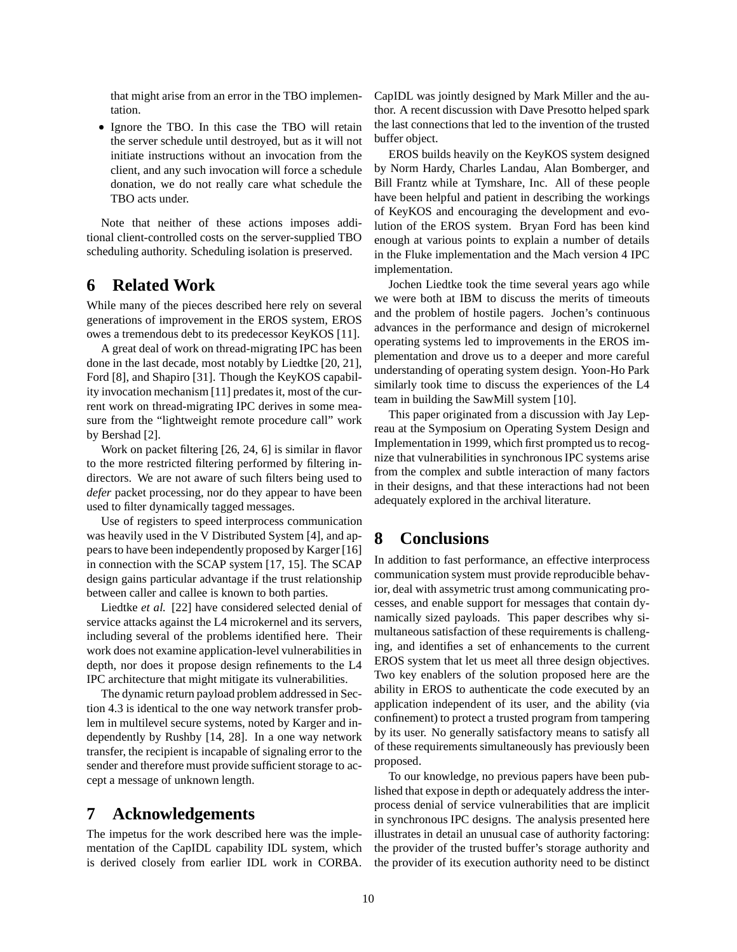that might arise from an error in the TBO implementation.

• Ignore the TBO. In this case the TBO will retain the server schedule until destroyed, but as it will not initiate instructions without an invocation from the client, and any such invocation will force a schedule donation, we do not really care what schedule the TBO acts under.

Note that neither of these actions imposes additional client-controlled costs on the server-supplied TBO scheduling authority. Scheduling isolation is preserved.

## **6 Related Work**

While many of the pieces described here rely on several generations of improvement in the EROS system, EROS owes a tremendous debt to its predecessor KeyKOS [11].

A great deal of work on thread-migrating IPC has been done in the last decade, most notably by Liedtke [20, 21], Ford [8], and Shapiro [31]. Though the KeyKOS capability invocation mechanism [11] predatesit, most of the current work on thread-migrating IPC derives in some measure from the "lightweight remote procedure call" work by Bershad [2].

Work on packet filtering [26, 24, 6] is similar in flavor to the more restricted filtering performed by filtering indirectors. We are not aware of such filters being used to *defer* packet processing, nor do they appear to have been used to filter dynamically tagged messages.

Use of registers to speed interprocess communication was heavily used in the V Distributed System [4], and appears to have been independently proposed by Karger [16] in connection with the SCAP system [17, 15]. The SCAP design gains particular advantage if the trust relationship between caller and callee is known to both parties.

Liedtke *et al.* [22] have considered selected denial of service attacks against the L4 microkernel and its servers, including several of the problems identified here. Their work does not examine application-level vulnerabilities in depth, nor does it propose design refinements to the L4 IPC architecture that might mitigate its vulnerabilities.

The dynamic return payload problem addressed in Section 4.3 is identical to the one way network transfer problem in multilevel secure systems, noted by Karger and independently by Rushby [14, 28]. In a one way network transfer, the recipient is incapable of signaling error to the sender and therefore must provide sufficient storage to accept a message of unknown length.

### **7 Acknowledgements**

The impetus for the work described here was the implementation of the CapIDL capability IDL system, which is derived closely from earlier IDL work in CORBA.

CapIDL was jointly designed by Mark Miller and the author. A recent discussion with Dave Presotto helped spark the last connections that led to the invention of the trusted buffer object.

EROS builds heavily on the KeyKOS system designed by Norm Hardy, Charles Landau, Alan Bomberger, and Bill Frantz while at Tymshare, Inc. All of these people have been helpful and patient in describing the workings of KeyKOS and encouraging the development and evolution of the EROS system. Bryan Ford has been kind enough at various points to explain a number of details in the Fluke implementation and the Mach version 4 IPC implementation.

Jochen Liedtke took the time several years ago while we were both at IBM to discuss the merits of timeouts and the problem of hostile pagers. Jochen's continuous advances in the performance and design of microkernel operating systems led to improvements in the EROS implementation and drove us to a deeper and more careful understanding of operating system design. Yoon-Ho Park similarly took time to discuss the experiences of the L4 team in building the SawMill system [10].

This paper originated from a discussion with Jay Lepreau at the Symposium on Operating System Design and Implementation in 1999, which first prompted us to recognize that vulnerabilities in synchronous IPC systems arise from the complex and subtle interaction of many factors in their designs, and that these interactions had not been adequately explored in the archival literature.

## **8 Conclusions**

In addition to fast performance, an effective interprocess communication system must provide reproducible behavior, deal with assymetric trust among communicating processes, and enable support for messages that contain dynamically sized payloads. This paper describes why simultaneous satisfaction of these requirements is challenging, and identifies a set of enhancements to the current EROS system that let us meet all three design objectives. Two key enablers of the solution proposed here are the ability in EROS to authenticate the code executed by an application independent of its user, and the ability (via confinement) to protect a trusted program from tampering by its user. No generally satisfactory means to satisfy all of these requirements simultaneously has previously been proposed.

To our knowledge, no previous papers have been published that expose in depth or adequately address the interprocess denial of service vulnerabilities that are implicit in synchronous IPC designs. The analysis presented here illustrates in detail an unusual case of authority factoring: the provider of the trusted buffer's storage authority and the provider of its execution authority need to be distinct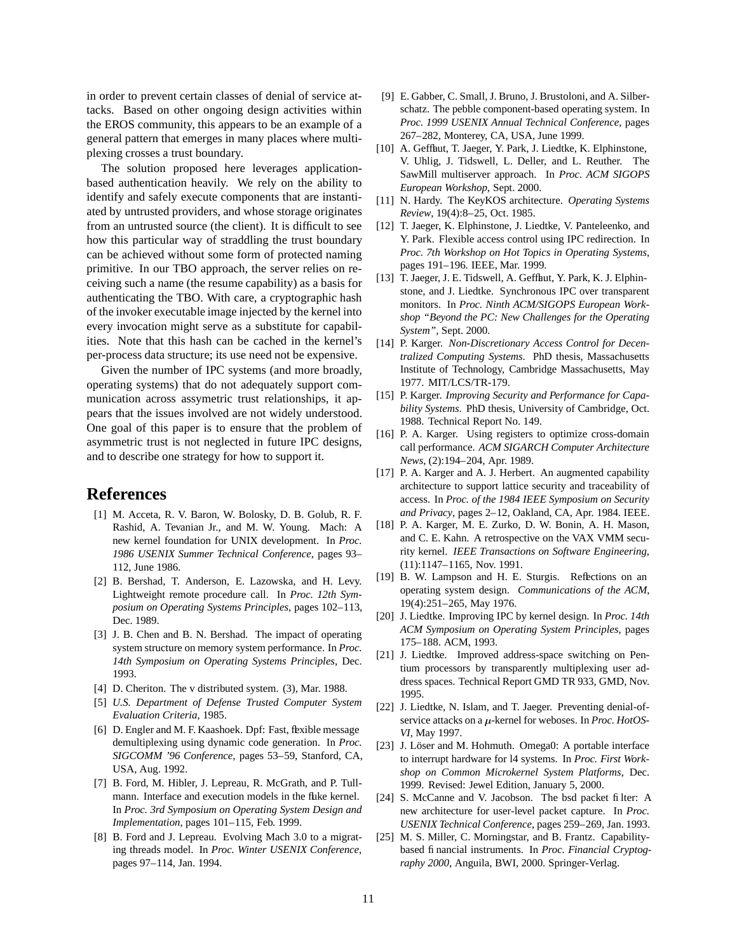in order to prevent certain classes of denial of service attacks. Based on other ongoing design activities within the EROS community, this appears to be an example of a general pattern that emerges in many places where multiplexing crosses a trust boundary.

The solution proposed here leverages applicationbased authentication heavily. We rely on the ability to identify and safely execute components that are instantiated by untrusted providers, and whose storage originates from an untrusted source (the client). It is difficult to see how this particular way of straddling the trust boundary can be achieved without some form of protected naming primitive. In our TBO approach, the server relies on receiving such a name (the resume capability) as a basis for authenticating the TBO. With care, a cryptographic hash of the invoker executable image injected by the kernel into every invocation might serve as a substitute for capabilities. Note that this hash can be cached in the kernel's per-process data structure; its use need not be expensive.

Given the number of IPC systems (and more broadly, operating systems) that do not adequately support communication across assymetric trust relationships, it appears that the issues involved are not widely understood. One goal of this paper is to ensure that the problem of asymmetric trust is not neglected in future IPC designs, and to describe one strategy for how to support it.

## **References**

- [1] M. Acceta, R. V. Baron, W. Bolosky, D. B. Golub, R. F. Rashid, A. Tevanian Jr., and M. W. Young. Mach: A new kernel foundation for UNIX development. In *Proc. 1986 USENIX Summer Technical Conference*, pages 93– 112, June 1986.
- [2] B. Bershad, T. Anderson, E. Lazowska, and H. Levy. Lightweight remote procedure call. In *Proc. 12th Symposium on Operating Systems Principles*, pages 102–113, Dec. 1989.
- [3] J. B. Chen and B. N. Bershad. The impact of operating system structure on memory system performance. In *Proc. 14th Symposium on Operating Systems Principles*, Dec. 1993.
- [4] D. Cheriton. The v distributed system. (3), Mar. 1988.
- [5] *U.S. Department of Defense Trusted Computer System Evaluation Criteria*, 1985.
- [6] D. Engler and M. F. Kaashoek. Dpf: Fast, flexible message demultiplexing using dynamic code generation. In *Proc. SIGCOMM '96 Conference*, pages 53–59, Stanford, CA, USA, Aug. 1992.
- [7] B. Ford, M. Hibler, J. Lepreau, R. McGrath, and P. Tullmann. Interface and execution models in the fluke kernel. In *Proc. 3rd Symposium on Operating System Design and Implementation*, pages 101–115, Feb. 1999.
- [8] B. Ford and J. Lepreau. Evolving Mach 3.0 to a migrating threads model. In *Proc. Winter USENIX Conference*, pages 97–114, Jan. 1994.
- [9] E. Gabber, C. Small, J. Bruno, J. Brustoloni, and A. Silberschatz. The pebble component-based operating system. In *Proc. 1999 USENIX Annual Technical Conference*, pages 267–282, Monterey, CA, USA, June 1999.
- [10] A. Geffhut, T. Jaeger, Y. Park, J. Liedtke, K. Elphinstone, V. Uhlig, J. Tidswell, L. Deller, and L. Reuther. The SawMill multiserver approach. In *Proc. ACM SIGOPS European Workshop*, Sept. 2000.
- [11] N. Hardy. The KeyKOS architecture. *Operating Systems Review*, 19(4):8–25, Oct. 1985.
- [12] T. Jaeger, K. Elphinstone, J. Liedtke, V. Panteleenko, and Y. Park. Flexible access control using IPC redirection. In *Proc. 7th Workshop on Hot Topics in Operating Systems*, pages 191–196. IEEE, Mar. 1999.
- [13] T. Jaeger, J. E. Tidswell, A. Geffhut, Y. Park, K. J. Elphinstone, and J. Liedtke. Synchronous IPC over transparent monitors. In *Proc. Ninth ACM/SIGOPS European Workshop "Beyond the PC: New Challenges for the Operating System"*, Sept. 2000.
- [14] P. Karger. *Non-Discretionary Access Control for Decentralized Computing Systems*. PhD thesis, Massachusetts Institute of Technology, Cambridge Massachusetts, May 1977. MIT/LCS/TR-179.
- [15] P. Karger. *Improving Security and Performance for Capability Systems*. PhD thesis, University of Cambridge, Oct. 1988. Technical Report No. 149.
- [16] P. A. Karger. Using registers to optimize cross-domain call performance. *ACM SIGARCH Computer Architecture News*, (2):194–204, Apr. 1989.
- [17] P. A. Karger and A. J. Herbert. An augmented capability architecture to support lattice security and traceability of access. In *Proc. of the 1984 IEEE Symposium on Security and Privacy*, pages 2–12, Oakland, CA, Apr. 1984. IEEE.
- [18] P. A. Karger, M. E. Zurko, D. W. Bonin, A. H. Mason, and C. E. Kahn. A retrospective on the VAX VMM security kernel. *IEEE Transactions on Software Engineering*, (11):1147–1165, Nov. 1991.
- [19] B. W. Lampson and H. E. Sturgis. Reflections on an operating system design. *Communications of the ACM*, 19(4):251–265, May 1976.
- [20] J. Liedtke. Improving IPC by kernel design. In *Proc. 14th ACM Symposium on Operating System Principles*, pages 175–188. ACM, 1993.
- [21] J. Liedtke. Improved address-space switching on Pentium processors by transparently multiplexing user address spaces. Technical Report GMD TR 933, GMD, Nov. 1995.
- [22] J. Liedtke, N. Islam, and T. Jaeger. Preventing denial-ofservice attacks on a  $\mu$ -kernel for weboses. In *Proc. HotOS*-*VI*, May 1997.
- [23] J. Löser and M. Hohmuth. Omega0: A portable interface to interrupt hardware for l4 systems. In *Proc. First Workshop on Common Microkernel System Platforms*, Dec. 1999. Revised: Jewel Edition, January 5, 2000.
- [24] S. McCanne and V. Jacobson. The bsd packet filter: A new architecture for user-level packet capture. In *Proc. USENIX Technical Conference*, pages 259–269, Jan. 1993.
- [25] M. S. Miller, C. Morningstar, and B. Frantz. Capabilitybased financial instruments. In *Proc. Financial Cryptography 2000*, Anguila, BWI, 2000. Springer-Verlag.